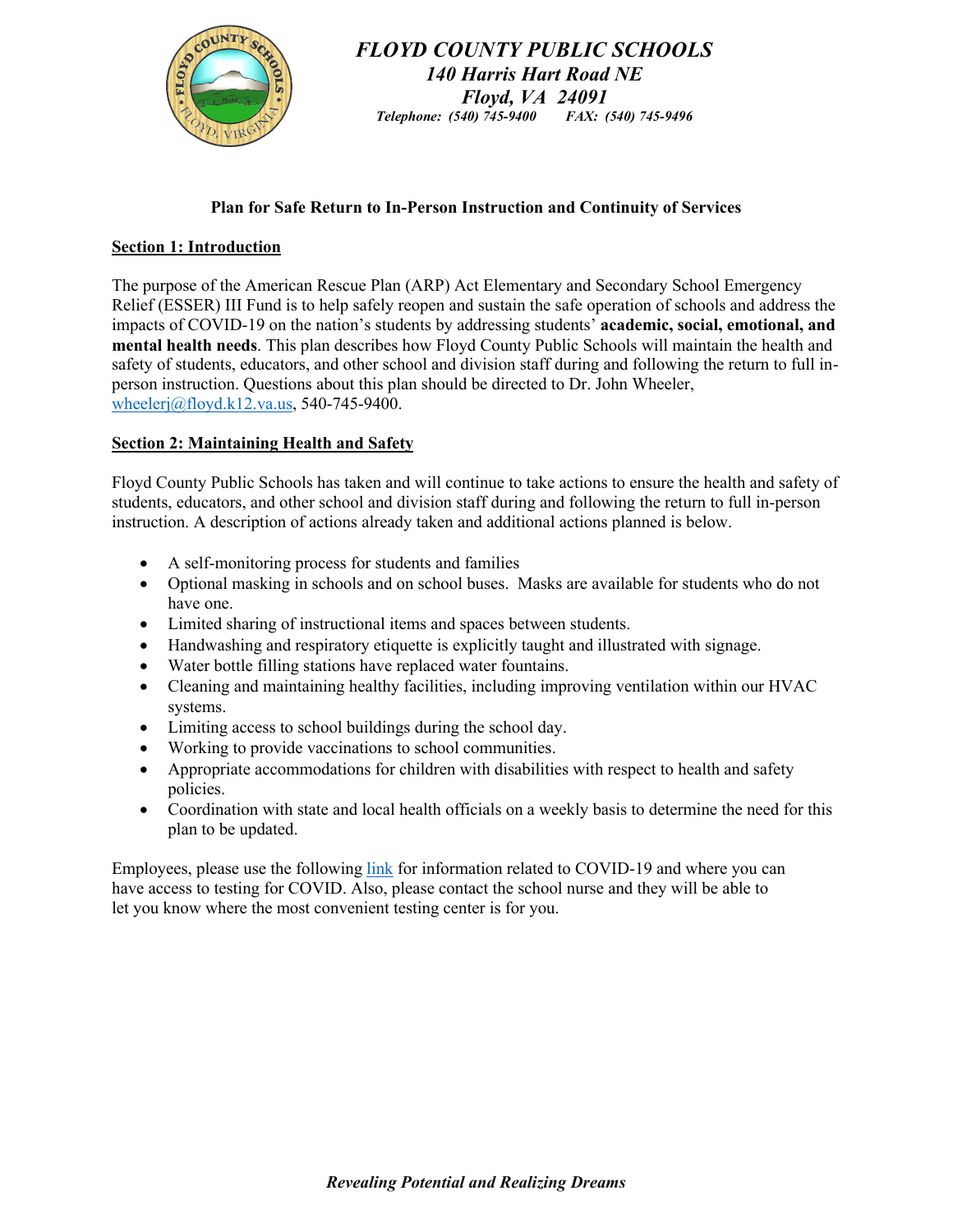

*FLOYD COUNTY PUBLIC SCHOOLS 140 Harris Hart Road NE Floyd, VA 24091 Telephone: (540) 745-9400 FAX: (540) 745-9496*

## **Plan for Safe Return to In-Person Instruction and Continuity of Services**

### **Section 1: Introduction**

The purpose of the American Rescue Plan (ARP) Act Elementary and Secondary School Emergency Relief (ESSER) III Fund is to help safely reopen and sustain the safe operation of schools and address the impacts of COVID-19 on the nation's students by addressing students' **academic, social, emotional, and mental health needs**. This plan describes how Floyd County Public Schools will maintain the health and safety of students, educators, and other school and division staff during and following the return to full inperson instruction. Questions about this plan should be directed to Dr. John Wheeler, wheelerj@floyd.k12.va.us, 540-745-9400.

### **Section 2: Maintaining Health and Safety**

Floyd County Public Schools has taken and will continue to take actions to ensure the health and safety of students, educators, and other school and division staff during and following the return to full in-person instruction. A description of actions already taken and additional actions planned is below.

- A self-monitoring process for students and families
- Optional masking in schools and on school buses. Masks are available for students who do not have one.
- Limited sharing of instructional items and spaces between students.
- Handwashing and respiratory etiquette is explicitly taught and illustrated with signage.
- Water bottle filling stations have replaced water fountains.
- Cleaning and maintaining healthy facilities, including improving ventilation within our HVAC systems.
- Limiting access to school buildings during the school day.
- Working to provide vaccinations to school communities.
- Appropriate accommodations for children with disabilities with respect to health and safety policies.
- Coordination with state and local health officials on a weekly basis to determine the need for this plan to be updated.

Employees, please use the following link for information related to COVID-19 and where you can have access to testing for COVID. Also, please contact the school nurse and they will be able to let you know where the most convenient testing center is for you.